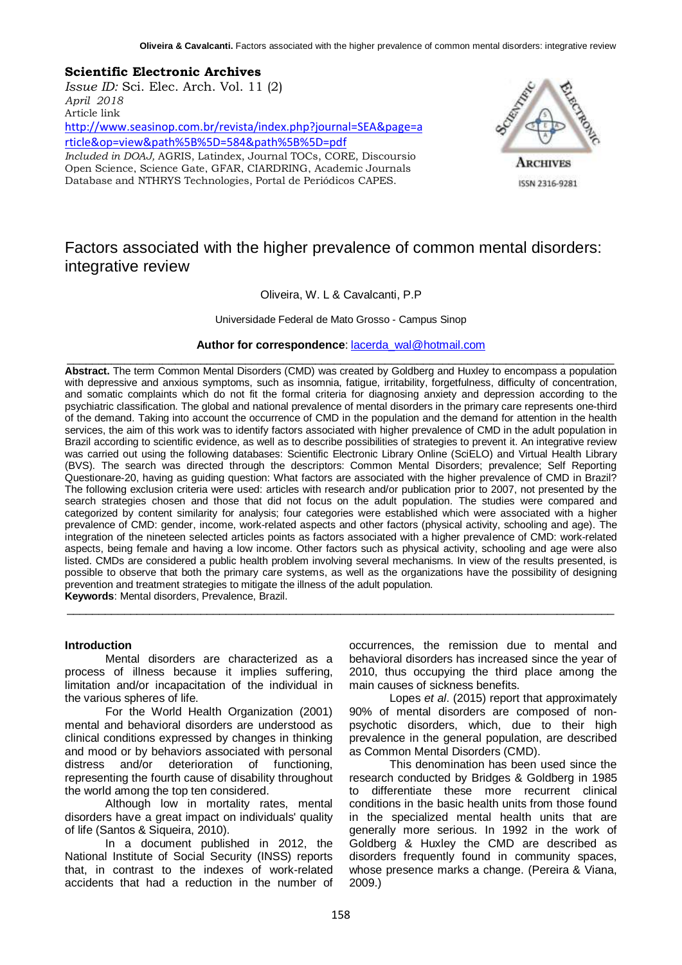## **Scientific Electronic Archives**

*Issue ID:* Sci. Elec. Arch. Vol. 11 (2) *April 2018* Article link [http://www.seasinop.com.br/revista/index.php?journal=SEA&page=a](http://www.seasinop.com.br/revista/index.php?journal=SEA&page=article&op=view&path%5B%5D=584&path%5B%5D=pdf) [rticle&op=view&path%5B%5D=584&path%5B%5D=pdf](http://www.seasinop.com.br/revista/index.php?journal=SEA&page=article&op=view&path%5B%5D=584&path%5B%5D=pdf) *Included in DOAJ,* AGRIS, Latindex, Journal TOCs, CORE, Discoursio Open Science, Science Gate, GFAR, CIARDRING, Academic Journals

Database and NTHRYS Technologies, Portal de Periódicos CAPES.



ISSN 2316-9281

# Factors associated with the higher prevalence of common mental disorders: integrative review

## Oliveira, W. L & Cavalcanti, P.P

Universidade Federal de Mato Grosso - Campus Sinop

**Author for correspondence**: [lacerda\\_wal@hotmail.com](mailto:lacerda_wal@hotmail.com)  $\_$  ,  $\_$  ,  $\_$  ,  $\_$  ,  $\_$  ,  $\_$  ,  $\_$  ,  $\_$  ,  $\_$  ,  $\_$  ,  $\_$  ,  $\_$  ,  $\_$  ,  $\_$  ,  $\_$  ,  $\_$  ,  $\_$  ,  $\_$  ,  $\_$  ,  $\_$  ,  $\_$  ,  $\_$  ,  $\_$  ,  $\_$  ,  $\_$  ,  $\_$  ,  $\_$  ,  $\_$  ,  $\_$  ,  $\_$  ,  $\_$  ,  $\_$  ,  $\_$  ,  $\_$  ,  $\_$  ,  $\_$  ,  $\_$  ,

**Abstract.** The term Common Mental Disorders (CMD) was created by Goldberg and Huxley to encompass a population with depressive and anxious symptoms, such as insomnia, fatigue, irritability, forgetfulness, difficulty of concentration, and somatic complaints which do not fit the formal criteria for diagnosing anxiety and depression according to the psychiatric classification. The global and national prevalence of mental disorders in the primary care represents one-third of the demand. Taking into account the occurrence of CMD in the population and the demand for attention in the health services, the aim of this work was to identify factors associated with higher prevalence of CMD in the adult population in Brazil according to scientific evidence, as well as to describe possibilities of strategies to prevent it. An integrative review was carried out using the following databases: Scientific Electronic Library Online (SciELO) and Virtual Health Library (BVS). The search was directed through the descriptors: Common Mental Disorders; prevalence; Self Reporting Questionare-20, having as guiding question: What factors are associated with the higher prevalence of CMD in Brazil? The following exclusion criteria were used: articles with research and/or publication prior to 2007, not presented by the search strategies chosen and those that did not focus on the adult population. The studies were compared and categorized by content similarity for analysis; four categories were established which were associated with a higher prevalence of CMD: gender, income, work-related aspects and other factors (physical activity, schooling and age). The integration of the nineteen selected articles points as factors associated with a higher prevalence of CMD: work-related aspects, being female and having a low income. Other factors such as physical activity, schooling and age were also listed. CMDs are considered a public health problem involving several mechanisms. In view of the results presented, is possible to observe that both the primary care systems, as well as the organizations have the possibility of designing prevention and treatment strategies to mitigate the illness of the adult population. **Keywords**: Mental disorders, Prevalence, Brazil.

 $\_$  ,  $\_$  ,  $\_$  ,  $\_$  ,  $\_$  ,  $\_$  ,  $\_$  ,  $\_$  ,  $\_$  ,  $\_$  ,  $\_$  ,  $\_$  ,  $\_$  ,  $\_$  ,  $\_$  ,  $\_$  ,  $\_$  ,  $\_$  ,  $\_$  ,  $\_$  ,  $\_$  ,  $\_$  ,  $\_$  ,  $\_$  ,  $\_$  ,  $\_$  ,  $\_$  ,  $\_$  ,  $\_$  ,  $\_$  ,  $\_$  ,  $\_$  ,  $\_$  ,  $\_$  ,  $\_$  ,  $\_$  ,  $\_$  ,

## **Introduction**

Mental disorders are characterized as a process of illness because it implies suffering, limitation and/or incapacitation of the individual in the various spheres of life.

For the World Health Organization (2001) mental and behavioral disorders are understood as clinical conditions expressed by changes in thinking and mood or by behaviors associated with personal distress and/or deterioration of functioning, representing the fourth cause of disability throughout the world among the top ten considered.

Although low in mortality rates, mental disorders have a great impact on individuals' quality of life (Santos & Siqueira, 2010).

In a document published in 2012, the National Institute of Social Security (INSS) reports that, in contrast to the indexes of work-related accidents that had a reduction in the number of occurrences, the remission due to mental and behavioral disorders has increased since the year of 2010, thus occupying the third place among the main causes of sickness benefits.

Lopes *et al*. (2015) report that approximately 90% of mental disorders are composed of nonpsychotic disorders, which, due to their high prevalence in the general population, are described as Common Mental Disorders (CMD).

This denomination has been used since the research conducted by Bridges & Goldberg in 1985 to differentiate these more recurrent clinical conditions in the basic health units from those found in the specialized mental health units that are generally more serious. In 1992 in the work of Goldberg & Huxley the CMD are described as disorders frequently found in community spaces, whose presence marks a change. (Pereira & Viana, 2009.)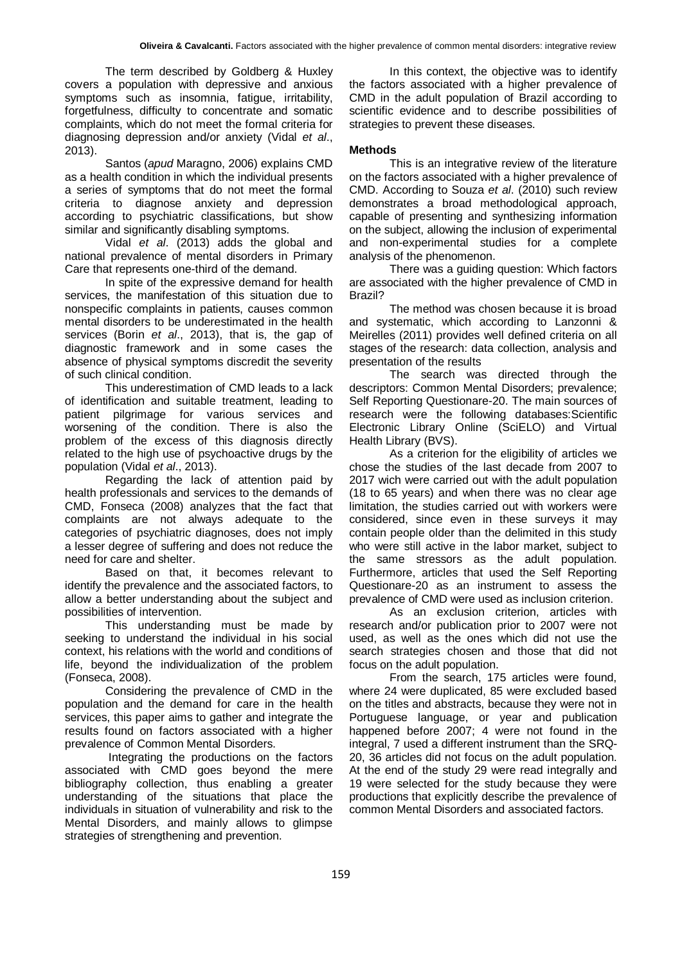The term described by Goldberg & Huxley covers a population with depressive and anxious symptoms such as insomnia, fatigue, irritability, forgetfulness, difficulty to concentrate and somatic complaints, which do not meet the formal criteria for diagnosing depression and/or anxiety (Vidal *et al*., 2013).

Santos (*apud* Maragno, 2006) explains CMD as a health condition in which the individual presents a series of symptoms that do not meet the formal criteria to diagnose anxiety and depression according to psychiatric classifications, but show similar and significantly disabling symptoms.

Vidal *et al*. (2013) adds the global and national prevalence of mental disorders in Primary Care that represents one-third of the demand.

In spite of the expressive demand for health services, the manifestation of this situation due to nonspecific complaints in patients, causes common mental disorders to be underestimated in the health services (Borin *et al*., 2013), that is, the gap of diagnostic framework and in some cases the absence of physical symptoms discredit the severity of such clinical condition.

This underestimation of CMD leads to a lack of identification and suitable treatment, leading to patient pilgrimage for various services and worsening of the condition. There is also the problem of the excess of this diagnosis directly related to the high use of psychoactive drugs by the population (Vidal *et al*., 2013).

Regarding the lack of attention paid by health professionals and services to the demands of CMD, Fonseca (2008) analyzes that the fact that complaints are not always adequate to the categories of psychiatric diagnoses, does not imply a lesser degree of suffering and does not reduce the need for care and shelter.

Based on that, it becomes relevant to identify the prevalence and the associated factors, to allow a better understanding about the subject and possibilities of intervention.

This understanding must be made by seeking to understand the individual in his social context, his relations with the world and conditions of life, beyond the individualization of the problem (Fonseca, 2008).

Considering the prevalence of CMD in the population and the demand for care in the health services, this paper aims to gather and integrate the results found on factors associated with a higher prevalence of Common Mental Disorders.

Integrating the productions on the factors associated with CMD goes beyond the mere bibliography collection, thus enabling a greater understanding of the situations that place the individuals in situation of vulnerability and risk to the Mental Disorders, and mainly allows to glimpse strategies of strengthening and prevention.

In this context, the objective was to identify the factors associated with a higher prevalence of CMD in the adult population of Brazil according to scientific evidence and to describe possibilities of strategies to prevent these diseases.

#### **Methods**

This is an integrative review of the literature on the factors associated with a higher prevalence of CMD. According to Souza *et al*. (2010) such review demonstrates a broad methodological approach, capable of presenting and synthesizing information on the subject, allowing the inclusion of experimental and non-experimental studies for a complete analysis of the phenomenon.

There was a guiding question: Which factors are associated with the higher prevalence of CMD in Brazil?

The method was chosen because it is broad and systematic, which according to Lanzonni & Meirelles (2011) provides well defined criteria on all stages of the research: data collection, analysis and presentation of the results

The search was directed through the descriptors: Common Mental Disorders; prevalence; Self Reporting Questionare-20. The main sources of research were the following databases:Scientific Electronic Library Online (SciELO) and Virtual Health Library (BVS).

As a criterion for the eligibility of articles we chose the studies of the last decade from 2007 to 2017 wich were carried out with the adult population (18 to 65 years) and when there was no clear age limitation, the studies carried out with workers were considered, since even in these surveys it may contain people older than the delimited in this study who were still active in the labor market, subject to the same stressors as the adult population. Furthermore, articles that used the Self Reporting Questionare-20 as an instrument to assess the prevalence of CMD were used as inclusion criterion.

As an exclusion criterion, articles with research and/or publication prior to 2007 were not used, as well as the ones which did not use the search strategies chosen and those that did not focus on the adult population.

From the search, 175 articles were found, where 24 were duplicated, 85 were excluded based on the titles and abstracts, because they were not in Portuguese language, or year and publication happened before 2007; 4 were not found in the integral, 7 used a different instrument than the SRQ-20, 36 articles did not focus on the adult population. At the end of the study 29 were read integrally and 19 were selected for the study because they were productions that explicitly describe the prevalence of common Mental Disorders and associated factors.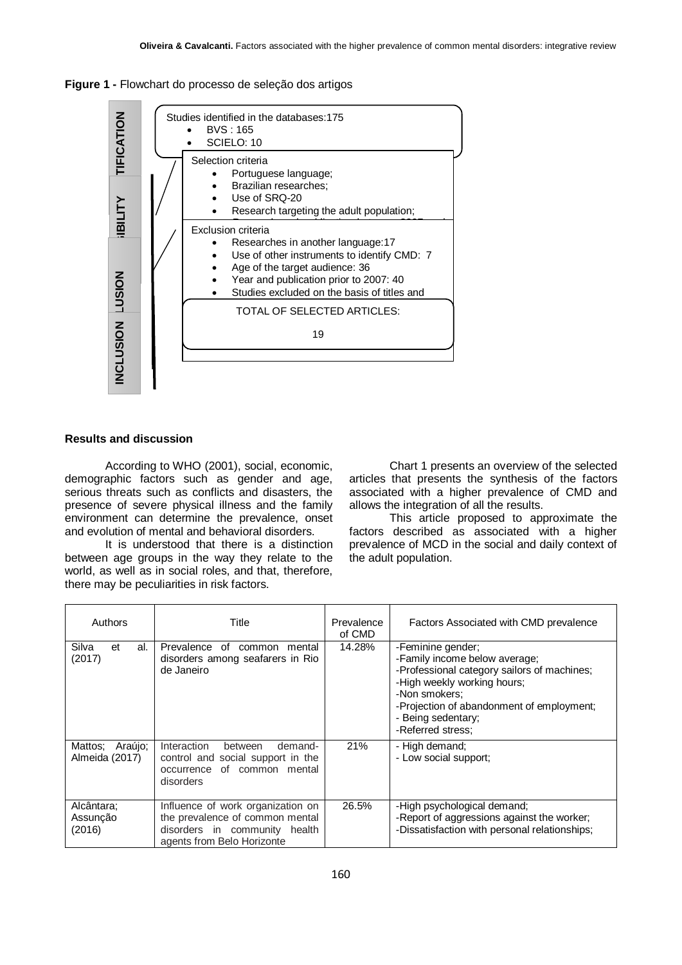



## **Results and discussion**

According to WHO (2001), social, economic, demographic factors such as gender and age, serious threats such as conflicts and disasters, the presence of severe physical illness and the family environment can determine the prevalence, onset and evolution of mental and behavioral disorders.

It is understood that there is a distinction between age groups in the way they relate to the world, as well as in social roles, and that, therefore, there may be peculiarities in risk factors.

Chart 1 presents an overview of the selected articles that presents the synthesis of the factors associated with a higher prevalence of CMD and allows the integration of all the results.

This article proposed to approximate the factors described as associated with a higher prevalence of MCD in the social and daily context of the adult population.

| Authors                              | Title                                                                                                                               | Prevalence<br>of CMD | Factors Associated with CMD prevalence                                                                                                                                                                                                    |
|--------------------------------------|-------------------------------------------------------------------------------------------------------------------------------------|----------------------|-------------------------------------------------------------------------------------------------------------------------------------------------------------------------------------------------------------------------------------------|
| Silva<br>al.<br>et<br>(2017)         | Prevalence of<br>common<br>mental<br>disorders among seafarers in Rio<br>de Janeiro                                                 | 14.28%               | -Feminine gender;<br>-Family income below average;<br>-Professional category sailors of machines;<br>-High weekly working hours;<br>-Non smokers:<br>-Projection of abandonment of employment;<br>- Being sedentary;<br>-Referred stress; |
| Araújo;<br>Mattos:<br>Almeida (2017) | Interaction<br>demand-<br>between<br>control and social support in the<br>occurrence of common mental<br>disorders                  | 21%                  | - High demand;<br>- Low social support:                                                                                                                                                                                                   |
| Alcântara;<br>Assunção<br>(2016)     | Influence of work organization on<br>the prevalence of common mental<br>disorders in community health<br>agents from Belo Horizonte | 26.5%                | -High psychological demand;<br>-Report of aggressions against the worker;<br>-Dissatisfaction with personal relationships;                                                                                                                |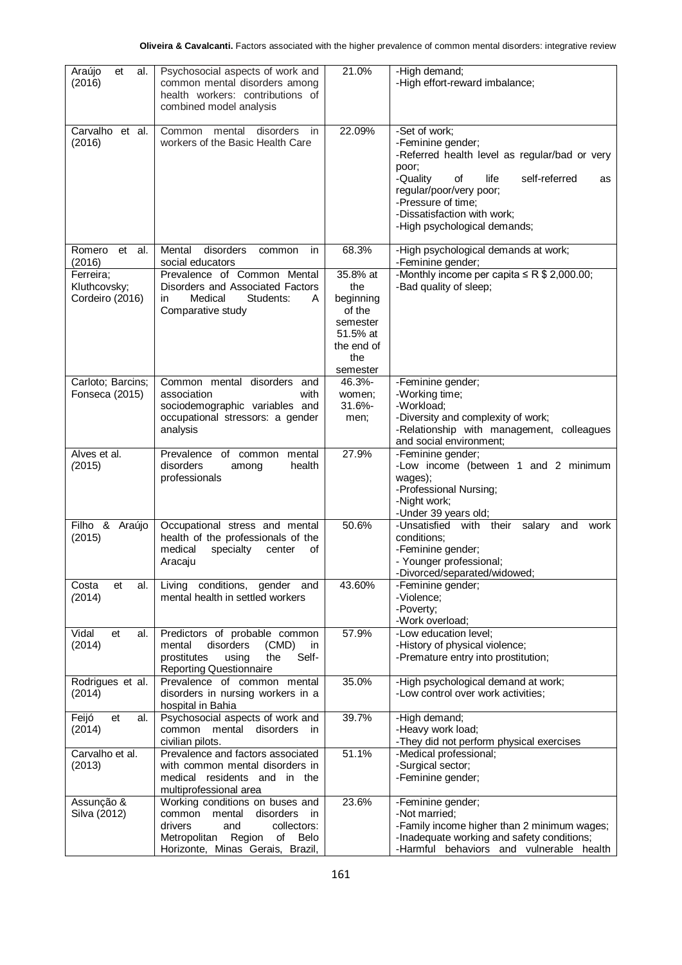| Araújo<br>al.<br>et<br>(2016)                | Psychosocial aspects of work and<br>common mental disorders among<br>health workers: contributions of<br>combined model analysis                                                 | 21.0%                                                                                           | -High demand;<br>-High effort-reward imbalance;                                                                                                                                                                                                               |
|----------------------------------------------|----------------------------------------------------------------------------------------------------------------------------------------------------------------------------------|-------------------------------------------------------------------------------------------------|---------------------------------------------------------------------------------------------------------------------------------------------------------------------------------------------------------------------------------------------------------------|
| Carvalho et al.<br>(2016)                    | Common<br>mental<br>disorders<br>in<br>workers of the Basic Health Care                                                                                                          | 22.09%                                                                                          | -Set of work;<br>-Feminine gender;<br>-Referred health level as regular/bad or very<br>poor;<br>-Quality<br>self-referred<br>of<br>life<br>as<br>regular/poor/very poor;<br>-Pressure of time;<br>-Dissatisfaction with work;<br>-High psychological demands; |
| Romero<br>et<br>al.<br>(2016)                | Mental<br>disorders<br>common<br>in.<br>social educators                                                                                                                         | 68.3%                                                                                           | -High psychological demands at work;<br>-Feminine gender;                                                                                                                                                                                                     |
| Ferreira;<br>Kluthcovsky;<br>Cordeiro (2016) | Prevalence of Common Mental<br>Disorders and Associated Factors<br>Medical<br>in<br>Students:<br>A<br>Comparative study                                                          | 35.8% at<br>the<br>beginning<br>of the<br>semester<br>51.5% at<br>the end of<br>the<br>semester | -Monthly income per capita $\leq R$ \$ 2,000.00;<br>-Bad quality of sleep;                                                                                                                                                                                    |
| Carloto; Barcins;                            | Common mental disorders and                                                                                                                                                      | 46.3%-                                                                                          | -Feminine gender;                                                                                                                                                                                                                                             |
| Fonseca (2015)                               | association<br>with<br>sociodemographic variables and                                                                                                                            | women;<br>31.6%-                                                                                | -Working time;<br>-Workload;                                                                                                                                                                                                                                  |
|                                              | occupational stressors: a gender<br>analysis                                                                                                                                     | men;                                                                                            | -Diversity and complexity of work;<br>-Relationship with management, colleagues<br>and social environment;                                                                                                                                                    |
| Alves et al.<br>(2015)                       | Prevalence of common<br>mental<br>disorders<br>health<br>among<br>professionals                                                                                                  | 27.9%                                                                                           | -Feminine gender;<br>-Low income (between 1 and 2 minimum<br>wages);<br>-Professional Nursing;<br>-Night work;<br>-Under 39 years old;                                                                                                                        |
| Filho & Araújo<br>(2015)                     | Occupational stress and mental<br>health of the professionals of the<br>medical<br>specialty<br>center<br>оf<br>Aracaju                                                          | 50.6%                                                                                           | -Unsatisfied with their salary<br>and<br>work<br>conditions:<br>-Feminine gender;<br>- Younger professional;<br>-Divorced/separated/widowed;                                                                                                                  |
| Costa<br>et<br>al.<br>(2014)                 | Living conditions, gender and<br>mental health in settled workers                                                                                                                | 43.60%                                                                                          | -Feminine gender;<br>-Violence;<br>-Poverty;<br>-Work overload;                                                                                                                                                                                               |
| Vidal<br>et<br>al.<br>(2014)                 | Predictors of probable common<br>(CMD)<br>mental<br>disorders<br>in<br>Self-<br>prostitutes<br>using<br>the<br><b>Reporting Questionnaire</b>                                    | 57.9%                                                                                           | -Low education level;<br>-History of physical violence;<br>-Premature entry into prostitution;                                                                                                                                                                |
| Rodrigues et al.<br>(2014)                   | Prevalence of common mental<br>disorders in nursing workers in a<br>hospital in Bahia                                                                                            | 35.0%                                                                                           | -High psychological demand at work;<br>-Low control over work activities;                                                                                                                                                                                     |
| Feijó<br>et<br>al.<br>(2014)                 | Psychosocial aspects of work and<br>disorders<br>common mental<br>in.<br>civilian pilots.                                                                                        | 39.7%                                                                                           | -High demand;<br>-Heavy work load;<br>-They did not perform physical exercises                                                                                                                                                                                |
| Carvalho et al.<br>(2013)                    | Prevalence and factors associated<br>with common mental disorders in<br>medical residents and in the<br>multiprofessional area                                                   | 51.1%                                                                                           | -Medical professional;<br>-Surgical sector;<br>-Feminine gender;                                                                                                                                                                                              |
| Assunção &<br>Silva (2012)                   | Working conditions on buses and<br>common mental<br>disorders<br>in<br>drivers<br>and<br>collectors:<br>Region<br>of<br>Belo<br>Metropolitan<br>Horizonte, Minas Gerais, Brazil, | 23.6%                                                                                           | -Feminine gender;<br>-Not married;<br>-Family income higher than 2 minimum wages;<br>-Inadequate working and safety conditions;<br>-Harmful behaviors and vulnerable health                                                                                   |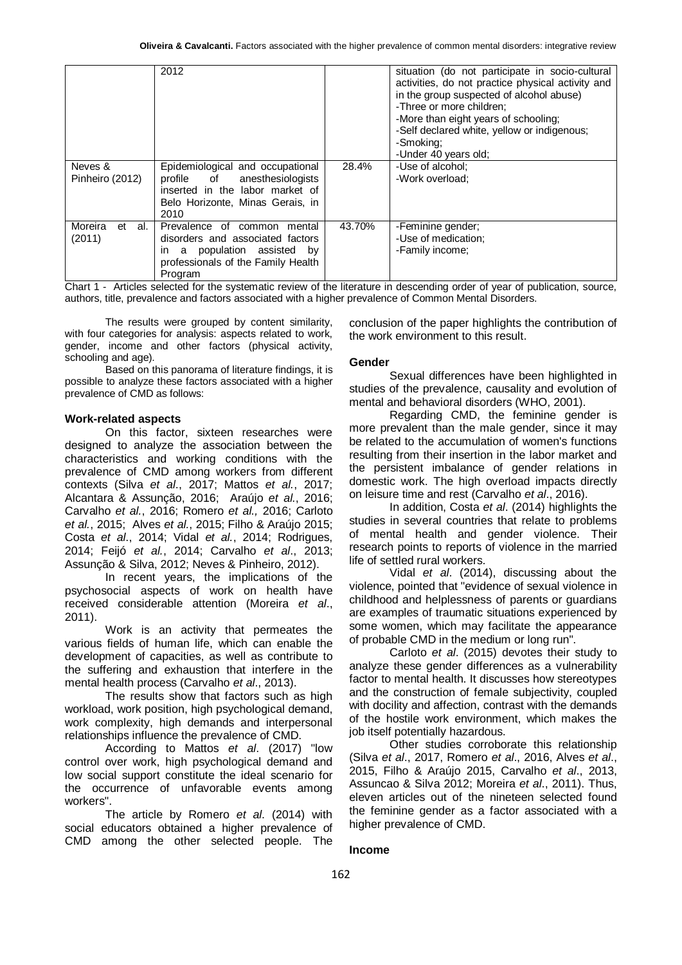|                      | 2012                                                                                                           |        | situation (do not participate in socio-cultural<br>activities, do not practice physical activity and<br>in the group suspected of alcohol abuse)<br>-Three or more children;<br>-More than eight years of schooling:<br>-Self declared white, yellow or indigenous;<br>-Smoking:<br>-Under 40 years old; |
|----------------------|----------------------------------------------------------------------------------------------------------------|--------|----------------------------------------------------------------------------------------------------------------------------------------------------------------------------------------------------------------------------------------------------------------------------------------------------------|
| Neves &              | Epidemiological and occupational                                                                               | 28.4%  | -Use of alcohol:                                                                                                                                                                                                                                                                                         |
| Pinheiro (2012)      | profile of<br>anesthesiologists<br>inserted in the labor market of<br>Belo Horizonte, Minas Gerais, in<br>2010 |        | -Work overload:                                                                                                                                                                                                                                                                                          |
| Moreira<br>al.<br>et | Prevalence of common<br>mental                                                                                 | 43.70% | -Feminine gender;                                                                                                                                                                                                                                                                                        |
| (2011)               | disorders and associated factors                                                                               |        | -Use of medication;                                                                                                                                                                                                                                                                                      |
|                      | population assisted by<br>in a                                                                                 |        | -Family income;                                                                                                                                                                                                                                                                                          |
|                      | professionals of the Family Health                                                                             |        |                                                                                                                                                                                                                                                                                                          |
|                      | Program                                                                                                        |        |                                                                                                                                                                                                                                                                                                          |

Chart 1 - Articles selected for the systematic review of the literature in descending order of year of publication, source, authors, title, prevalence and factors associated with a higher prevalence of Common Mental Disorders.

The results were grouped by content similarity, with four categories for analysis: aspects related to work, gender, income and other factors (physical activity, schooling and age).

Based on this panorama of literature findings, it is possible to analyze these factors associated with a higher prevalence of CMD as follows:

## **Work-related aspects**

On this factor, sixteen researches were designed to analyze the association between the characteristics and working conditions with the prevalence of CMD among workers from different contexts (Silva *et al*., 2017; Mattos *et al.*, 2017; Alcantara & Assunção, 2016; Araújo *et al.*, 2016; Carvalho *et al.*, 2016; Romero *et al.,* 2016; Carloto *et al.*, 2015; Alves *et al.*, 2015; Filho & Araújo 2015; Costa *et al*., 2014; Vidal *et al.*, 2014; Rodrigues, 2014; Feijó *et al.*, 2014; Carvalho *et al*., 2013; Assunção & Silva, 2012; Neves & Pinheiro, 2012).

In recent years, the implications of the psychosocial aspects of work on health have received considerable attention (Moreira *et al*., 2011).

Work is an activity that permeates the various fields of human life, which can enable the development of capacities, as well as contribute to the suffering and exhaustion that interfere in the mental health process (Carvalho *et al*., 2013).

The results show that factors such as high workload, work position, high psychological demand, work complexity, high demands and interpersonal relationships influence the prevalence of CMD.

According to Mattos *et al*. (2017) "low control over work, high psychological demand and low social support constitute the ideal scenario for the occurrence of unfavorable events among workers".

The article by Romero *et al*. (2014) with social educators obtained a higher prevalence of CMD among the other selected people. The

conclusion of the paper highlights the contribution of the work environment to this result.

#### **Gender**

Sexual differences have been highlighted in studies of the prevalence, causality and evolution of mental and behavioral disorders (WHO, 2001).

Regarding CMD, the feminine gender is more prevalent than the male gender, since it may be related to the accumulation of women's functions resulting from their insertion in the labor market and the persistent imbalance of gender relations in domestic work. The high overload impacts directly on leisure time and rest (Carvalho *et al*., 2016).

In addition, Costa *et al*. (2014) highlights the studies in several countries that relate to problems of mental health and gender violence. Their research points to reports of violence in the married life of settled rural workers.

Vidal *et al*. (2014), discussing about the violence, pointed that "evidence of sexual violence in childhood and helplessness of parents or guardians are examples of traumatic situations experienced by some women, which may facilitate the appearance of probable CMD in the medium or long run".

Carloto *et al*. (2015) devotes their study to analyze these gender differences as a vulnerability factor to mental health. It discusses how stereotypes and the construction of female subjectivity, coupled with docility and affection, contrast with the demands of the hostile work environment, which makes the job itself potentially hazardous.

Other studies corroborate this relationship (Silva *et al*., 2017, Romero *et al*., 2016, Alves *et al*., 2015, Filho & Araújo 2015, Carvalho *et al*., 2013, Assuncao & Silva 2012; Moreira *et al*., 2011). Thus, eleven articles out of the nineteen selected found the feminine gender as a factor associated with a higher prevalence of CMD.

## **Income**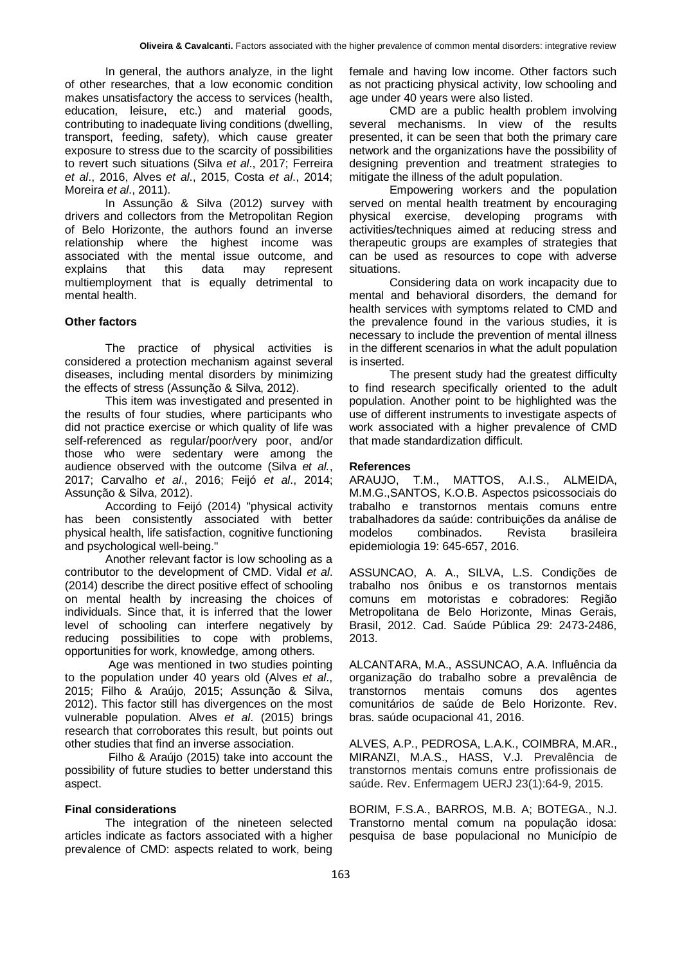In general, the authors analyze, in the light of other researches, that a low economic condition makes unsatisfactory the access to services (health, education, leisure, etc.) and material goods, contributing to inadequate living conditions (dwelling, transport, feeding, safety), which cause greater exposure to stress due to the scarcity of possibilities to revert such situations (Silva *et al*., 2017; Ferreira *et al*., 2016, Alves *et al*., 2015, Costa *et al*., 2014; Moreira *et al*., 2011).

In Assunção & Silva (2012) survey with drivers and collectors from the Metropolitan Region of Belo Horizonte, the authors found an inverse relationship where the highest income was associated with the mental issue outcome, and explains that this data may represent multiemployment that is equally detrimental to mental health.

#### **Other factors**

The practice of physical activities is considered a protection mechanism against several diseases, including mental disorders by minimizing the effects of stress (Assunção & Silva, 2012).

This item was investigated and presented in the results of four studies, where participants who did not practice exercise or which quality of life was self-referenced as regular/poor/very poor, and/or those who were sedentary were among the audience observed with the outcome (Silva *et al.*, 2017; Carvalho *et al*., 2016; Feijó *et al*., 2014; Assunção & Silva, 2012).

According to Feijó (2014) "physical activity has been consistently associated with better physical health, life satisfaction, cognitive functioning and psychological well-being."

Another relevant factor is low schooling as a contributor to the development of CMD. Vidal *et al*. (2014) describe the direct positive effect of schooling on mental health by increasing the choices of individuals. Since that, it is inferred that the lower level of schooling can interfere negatively by reducing possibilities to cope with problems, opportunities for work, knowledge, among others.

Age was mentioned in two studies pointing to the population under 40 years old (Alves *et al*., 2015; Filho & Araújo, 2015; Assunção & Silva, 2012). This factor still has divergences on the most vulnerable population. Alves *et al*. (2015) brings research that corroborates this result, but points out other studies that find an inverse association.

Filho & Araújo (2015) take into account the possibility of future studies to better understand this aspect.

#### **Final considerations**

The integration of the nineteen selected articles indicate as factors associated with a higher prevalence of CMD: aspects related to work, being

female and having low income. Other factors such as not practicing physical activity, low schooling and age under 40 years were also listed.

CMD are a public health problem involving several mechanisms. In view of the results presented, it can be seen that both the primary care network and the organizations have the possibility of designing prevention and treatment strategies to mitigate the illness of the adult population.

Empowering workers and the population served on mental health treatment by encouraging physical exercise, developing programs with activities/techniques aimed at reducing stress and therapeutic groups are examples of strategies that can be used as resources to cope with adverse situations.

Considering data on work incapacity due to mental and behavioral disorders, the demand for health services with symptoms related to CMD and the prevalence found in the various studies, it is necessary to include the prevention of mental illness in the different scenarios in what the adult population is inserted.

The present study had the greatest difficulty to find research specifically oriented to the adult population. Another point to be highlighted was the use of different instruments to investigate aspects of work associated with a higher prevalence of CMD that made standardization difficult.

#### **References**

ARAUJO, T.M., MATTOS, A.I.S., ALMEIDA, M.M.G.,SANTOS, K.O.B. Aspectos psicossociais do trabalho e transtornos mentais comuns entre trabalhadores da saúde: contribuições da análise de modelos combinados. Revista brasileira epidemiologia 19: 645-657, 2016.

ASSUNCAO, A. A., SILVA, L.S. Condições de trabalho nos ônibus e os transtornos mentais comuns em motoristas e cobradores: Região Metropolitana de Belo Horizonte, Minas Gerais, Brasil, 2012. Cad. Saúde Pública 29: 2473-2486, 2013.

ALCANTARA, M.A., ASSUNCAO, A.A. Influência da organização do trabalho sobre a prevalência de transtornos mentais comuns dos agentes comunitários de saúde de Belo Horizonte. Rev. bras. saúde ocupacional 41, 2016.

ALVES, A.P., PEDROSA, L.A.K., COIMBRA, M.AR., MIRANZI, M.A.S., HASS, V.J. Prevalência de transtornos mentais comuns entre profissionais de saúde. Rev. Enfermagem UERJ 23(1):64-9, 2015.

BORIM, F.S.A., BARROS, M.B. A; BOTEGA., N.J. Transtorno mental comum na população idosa: pesquisa de base populacional no Município de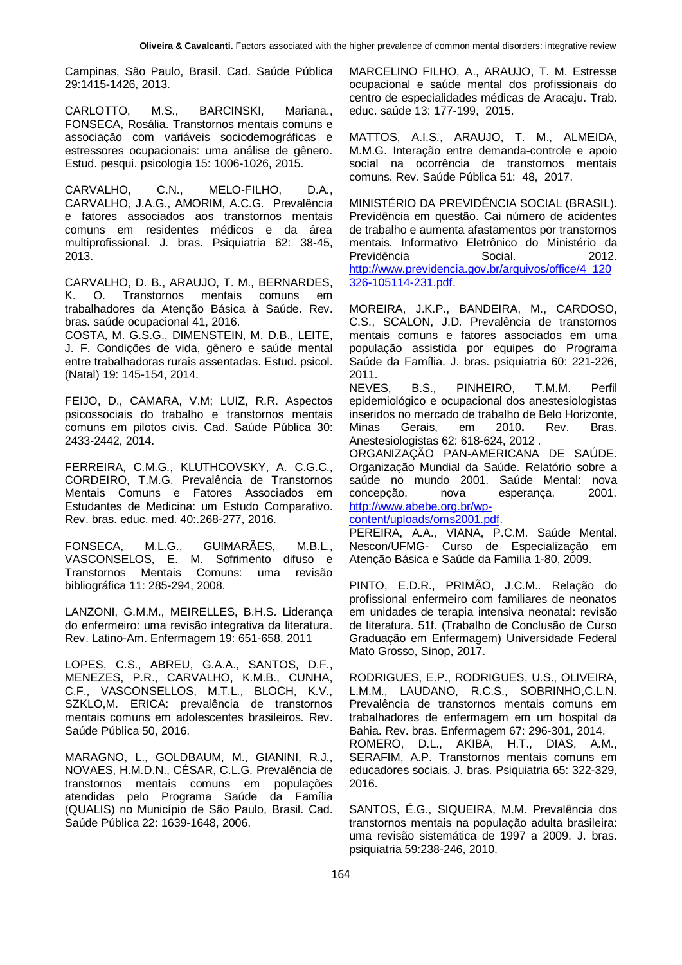Campinas, São Paulo, Brasil. Cad. Saúde Pública 29:1415-1426, 2013.

CARLOTTO, M.S., BARCINSKI, Mariana., FONSECA, Rosália. Transtornos mentais comuns e associação com variáveis sociodemográficas e estressores ocupacionais: uma análise de gênero. Estud. pesqui. psicologia 15: 1006-1026, 2015.

CARVALHO, C.N., MELO-FILHO, D.A., CARVALHO, J.A.G., AMORIM, A.C.G. Prevalência e fatores associados aos transtornos mentais comuns em residentes médicos e da área multiprofissional. J. bras. Psiquiatria 62: 38-45, 2013.

CARVALHO, D. B., ARAUJO, T. M., BERNARDES, K. O. Transtornos mentais comuns em trabalhadores da Atenção Básica à Saúde. Rev. bras. saúde ocupacional 41, 2016.

COSTA, M. G.S.G., DIMENSTEIN, M. D.B., LEITE, J. F. Condições de vida, gênero e saúde mental entre trabalhadoras rurais assentadas. Estud. psicol. (Natal) 19: 145-154, 2014.

FEIJO, D., CAMARA, V.M; LUIZ, R.R. Aspectos psicossociais do trabalho e transtornos mentais comuns em pilotos civis. Cad. Saúde Pública 30: 2433-2442, 2014.

FERREIRA, C.M.G., KLUTHCOVSKY, A. C.G.C., CORDEIRO, T.M.G. Prevalência de Transtornos Mentais Comuns e Fatores Associados em Estudantes de Medicina: um Estudo Comparativo. Rev. bras. educ. med. 40:.268-277, 2016.

FONSECA, M.L.G., GUIMARÃES, M.B.L., VASCONSELOS, E. M. Sofrimento difuso e Transtornos Mentais Comuns: uma revisão bibliográfica 11: 285-294, 2008.

LANZONI, G.M.M., MEIRELLES, B.H.S. Liderança do enfermeiro: uma revisão integrativa da literatura. Rev. Latino-Am. Enfermagem 19: 651-658, 2011

LOPES, C.S., ABREU, G.A.A., SANTOS, D.F., MENEZES, P.R., CARVALHO, K.M.B., CUNHA, C.F., VASCONSELLOS, M.T.L., BLOCH, K.V., SZKLO,M. ERICA: prevalência de transtornos mentais comuns em adolescentes brasileiros. Rev. Saúde Pública 50, 2016.

MARAGNO, L., GOLDBAUM, M., GIANINI, R.J., NOVAES, H.M.D.N., CÉSAR, C.L.G. Prevalência de transtornos mentais comuns em populações atendidas pelo Programa Saúde da Família (QUALIS) no Município de São Paulo, Brasil. Cad. Saúde Pública 22: 1639-1648, 2006.

MARCELINO FILHO, A., ARAUJO, T. M. Estresse ocupacional e saúde mental dos profissionais do centro de especialidades médicas de Aracaju. Trab. educ. saúde 13: 177-199, 2015.

MATTOS, A.I.S., ARAUJO, T. M., ALMEIDA, M.M.G. Interação entre demanda-controle e apoio social na ocorrência de transtornos mentais comuns. Rev. Saúde Pública 51: 48, 2017.

MINISTÉRIO DA PREVIDÊNCIA SOCIAL (BRASIL). Previdência em questão. Cai número de acidentes de trabalho e aumenta afastamentos por transtornos mentais. Informativo Eletrônico do Ministério da Previdência Social. 2012. [http://www.previdencia.gov.br/arquivos/office/4\\_120](http://www.previdencia.gov.br/arquivos/office/4_120326-105114-231.pdf.) [326-105114-231.pdf.](http://www.previdencia.gov.br/arquivos/office/4_120326-105114-231.pdf.)

MOREIRA, J.K.P., BANDEIRA, M., CARDOSO, C.S., SCALON, J.D. Prevalência de transtornos mentais comuns e fatores associados em uma população assistida por equipes do Programa Saúde da Família. J. bras. psiquiatria 60: 221-226, 2011.

NEVES, B.S., PINHEIRO, T.M.M. Perfil epidemiológico e ocupacional dos anestesiologistas inseridos no mercado de trabalho de Belo Horizonte, Minas Gerais, em 2010**.** Rev. Bras. Anestesiologistas 62: 618-624, 2012 .

ORGANIZAÇÃO PAN-AMERICANA DE SAÚDE. Organização Mundial da Saúde. Relatório sobre a saúde no mundo 2001. Saúde Mental: nova concepção, nova esperança. 2001. [http://www.abebe.org.br/wp-](http://www.abebe.org.br/wp-content/uploads/oms2001.pdf)

[content/uploads/oms2001.pdf.](http://www.abebe.org.br/wp-content/uploads/oms2001.pdf)

PEREIRA, A.A., VIANA, P.C.M. Saúde Mental. Nescon/UFMG- Curso de Especialização em Atenção Básica e Saúde da Familia 1-80, 2009.

PINTO, E.D.R., PRIMÃO, J.C.M.. Relação do profissional enfermeiro com familiares de neonatos em unidades de terapia intensiva neonatal: revisão de literatura. 51f. (Trabalho de Conclusão de Curso Graduação em Enfermagem) Universidade Federal Mato Grosso, Sinop, 2017.

RODRIGUES, E.P., RODRIGUES, U.S., OLIVEIRA, L.M.M., LAUDANO, R.C.S., SOBRINHO,C.L.N. Prevalência de transtornos mentais comuns em trabalhadores de enfermagem em um hospital da Bahia. Rev. bras. Enfermagem 67: 296-301, 2014. ROMERO, D.L., AKIBA, H.T., DIAS, A.M., SERAFIM, A.P. Transtornos mentais comuns em educadores sociais. J. bras. Psiquiatria 65: 322-329, 2016.

SANTOS, É.G., SIQUEIRA, M.M. Prevalência dos transtornos mentais na população adulta brasileira: uma revisão sistemática de 1997 a 2009. J. bras. psiquiatria 59:238-246, 2010.